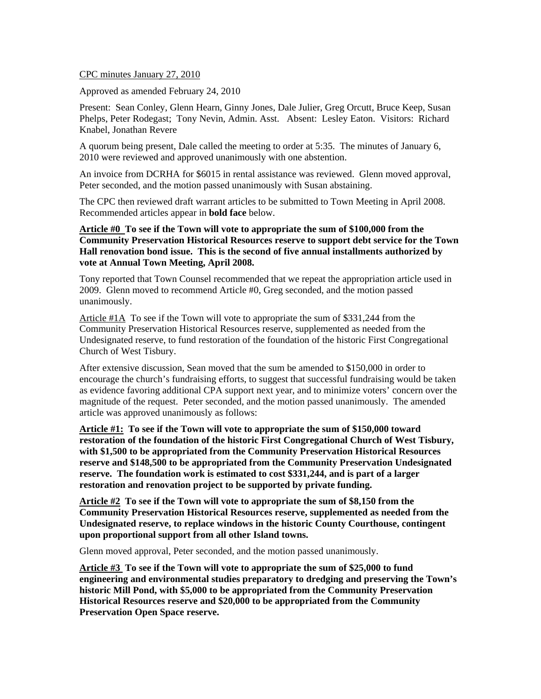CPC minutes January 27, 2010

Approved as amended February 24, 2010

Present: Sean Conley, Glenn Hearn, Ginny Jones, Dale Julier, Greg Orcutt, Bruce Keep, Susan Phelps, Peter Rodegast; Tony Nevin, Admin. Asst. Absent: Lesley Eaton. Visitors: Richard Knabel, Jonathan Revere

A quorum being present, Dale called the meeting to order at 5:35. The minutes of January 6, 2010 were reviewed and approved unanimously with one abstention.

An invoice from DCRHA for \$6015 in rental assistance was reviewed. Glenn moved approval, Peter seconded, and the motion passed unanimously with Susan abstaining.

The CPC then reviewed draft warrant articles to be submitted to Town Meeting in April 2008. Recommended articles appear in **bold face** below.

**Article #0 To see if the Town will vote to appropriate the sum of \$100,000 from the Community Preservation Historical Resources reserve to support debt service for the Town Hall renovation bond issue. This is the second of five annual installments authorized by vote at Annual Town Meeting, April 2008.** 

Tony reported that Town Counsel recommended that we repeat the appropriation article used in 2009. Glenn moved to recommend Article #0, Greg seconded, and the motion passed unanimously.

Article #1A To see if the Town will vote to appropriate the sum of \$331,244 from the Community Preservation Historical Resources reserve, supplemented as needed from the Undesignated reserve, to fund restoration of the foundation of the historic First Congregational Church of West Tisbury.

After extensive discussion, Sean moved that the sum be amended to \$150,000 in order to encourage the church's fundraising efforts, to suggest that successful fundraising would be taken as evidence favoring additional CPA support next year, and to minimize voters' concern over the magnitude of the request. Peter seconded, and the motion passed unanimously. The amended article was approved unanimously as follows:

**Article #1: To see if the Town will vote to appropriate the sum of \$150,000 toward restoration of the foundation of the historic First Congregational Church of West Tisbury, with \$1,500 to be appropriated from the Community Preservation Historical Resources reserve and \$148,500 to be appropriated from the Community Preservation Undesignated reserve. The foundation work is estimated to cost \$331,244, and is part of a larger restoration and renovation project to be supported by private funding.** 

**Article #2 To see if the Town will vote to appropriate the sum of \$8,150 from the Community Preservation Historical Resources reserve, supplemented as needed from the Undesignated reserve, to replace windows in the historic County Courthouse, contingent upon proportional support from all other Island towns.** 

Glenn moved approval, Peter seconded, and the motion passed unanimously.

**Article #3 To see if the Town will vote to appropriate the sum of \$25,000 to fund engineering and environmental studies preparatory to dredging and preserving the Town's historic Mill Pond, with \$5,000 to be appropriated from the Community Preservation Historical Resources reserve and \$20,000 to be appropriated from the Community Preservation Open Space reserve.**